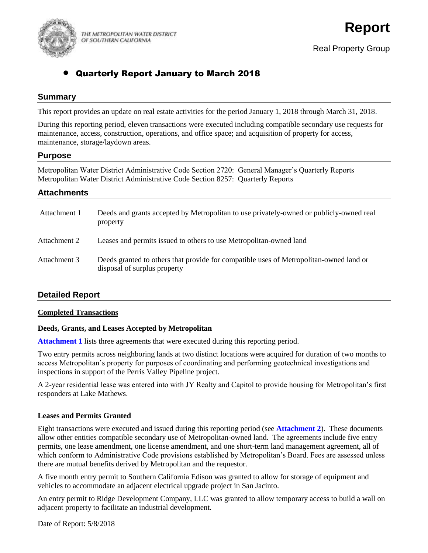

THE METROPOLITAN WATER DISTRICT OF SOUTHERN CALIFORNIA

# Quarterly Report January to March 2018

## **Summary**

This report provides an update on real estate activities for the period January 1, 2018 through March 31, 2018.

During this reporting period, eleven transactions were executed including compatible secondary use requests for maintenance, access, construction, operations, and office space; and acquisition of property for access, maintenance, storage/laydown areas.

## **Purpose**

Metropolitan Water District Administrative Code Section 2720: General Manager's Quarterly Reports Metropolitan Water District Administrative Code Section 8257: Quarterly Reports

## **Attachments**

| Attachment 1 | Deeds and grants accepted by Metropolitan to use privately-owned or publicly-owned real<br>property                    |
|--------------|------------------------------------------------------------------------------------------------------------------------|
| Attachment 2 | Leases and permits issued to others to use Metropolitan-owned land                                                     |
| Attachment 3 | Deeds granted to others that provide for compatible uses of Metropolitan-owned land or<br>disposal of surplus property |

## **Detailed Report**

### **Completed Transactions**

## **Deeds, Grants, and Leases Accepted by Metropolitan**

**Attachment 1** lists three agreements that were executed during this reporting period.

Two entry permits across neighboring lands at two distinct locations were acquired for duration of two months to access Metropolitan's property for purposes of coordinating and performing geotechnical investigations and inspections in support of the Perris Valley Pipeline project.

A 2-year residential lease was entered into with JY Realty and Capitol to provide housing for Metropolitan's first responders at Lake Mathews.

### **Leases and Permits Granted**

Eight transactions were executed and issued during this reporting period (see **Attachment 2**). These documents allow other entities compatible secondary use of Metropolitan-owned land. The agreements include five entry permits, one lease amendment, one license amendment, and one short-term land management agreement, all of which conform to Administrative Code provisions established by Metropolitan's Board. Fees are assessed unless there are mutual benefits derived by Metropolitan and the requestor.

A five month entry permit to Southern California Edison was granted to allow for storage of equipment and vehicles to accommodate an adjacent electrical upgrade project in San Jacinto.

An entry permit to Ridge Development Company, LLC was granted to allow temporary access to build a wall on adjacent property to facilitate an industrial development.

Date of Report: 5/8/2018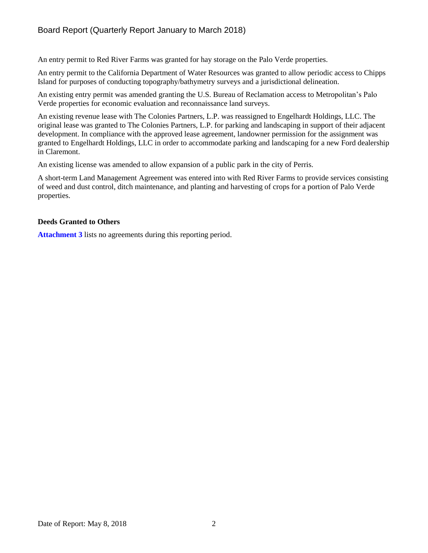An entry permit to Red River Farms was granted for hay storage on the Palo Verde properties.

An entry permit to the California Department of Water Resources was granted to allow periodic access to Chipps Island for purposes of conducting topography/bathymetry surveys and a jurisdictional delineation.

An existing entry permit was amended granting the U.S. Bureau of Reclamation access to Metropolitan's Palo Verde properties for economic evaluation and reconnaissance land surveys.

An existing revenue lease with The Colonies Partners, L.P. was reassigned to Engelhardt Holdings, LLC. The original lease was granted to The Colonies Partners, L.P. for parking and landscaping in support of their adjacent development. In compliance with the approved lease agreement, landowner permission for the assignment was granted to Engelhardt Holdings, LLC in order to accommodate parking and landscaping for a new Ford dealership in Claremont.

An existing license was amended to allow expansion of a public park in the city of Perris.

A short-term Land Management Agreement was entered into with Red River Farms to provide services consisting of weed and dust control, ditch maintenance, and planting and harvesting of crops for a portion of Palo Verde properties.

### **Deeds Granted to Others**

**Attachment 3** lists no agreements during this reporting period.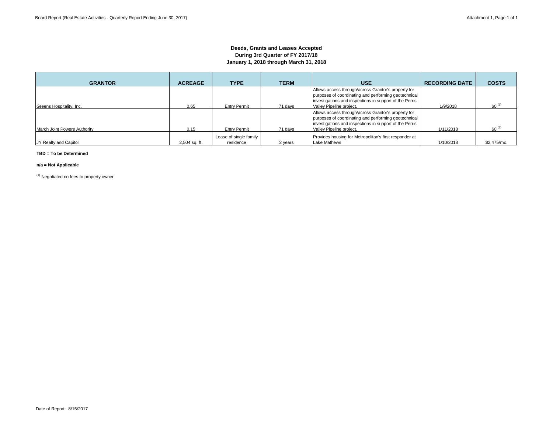### **Deeds, Grants and Leases Accepted During 3rd Quarter of FY 2017/18 January 1, 2018 through March 31, 2018**

| <b>GRANTOR</b>               | <b>ACREAGE</b> | <b>TYPE</b>                         | <b>TERM</b> | <b>USE</b>                                                                                                                                                                                         | <b>RECORDING DATE</b> | <b>COSTS</b>       |
|------------------------------|----------------|-------------------------------------|-------------|----------------------------------------------------------------------------------------------------------------------------------------------------------------------------------------------------|-----------------------|--------------------|
| Greens Hospitality, Inc.     | 0.65           | <b>Entry Permit</b>                 | 71 days     | Allows access through/across Grantor's property for<br>purposes of coordinating and performing geotechnical<br>investigations and inspections in support of the Perris<br>Valley Pipeline project. | 1/9/2018              | \$0 <sup>(1)</sup> |
| March Joint Powers Authority | 0.15           | <b>Entry Permit</b>                 | 71 days     | Allows access through/across Grantor's property for<br>purposes of coordinating and performing geotechnical<br>investigations and inspections in support of the Perris<br>Valley Pipeline project. | 1/11/2018             | $$0^{11}$          |
| JY Realty and Capitol        | 2,504 sq. ft.  | Lease of single family<br>residence | 2 years     | Provides housing for Metropolitan's first responder at<br>Lake Mathews                                                                                                                             | 1/10/2018             | \$2.475/mo.        |

#### **TBD = To be Determined**

#### **n/a = Not Applicable**

(1) Negotiated no fees to property owner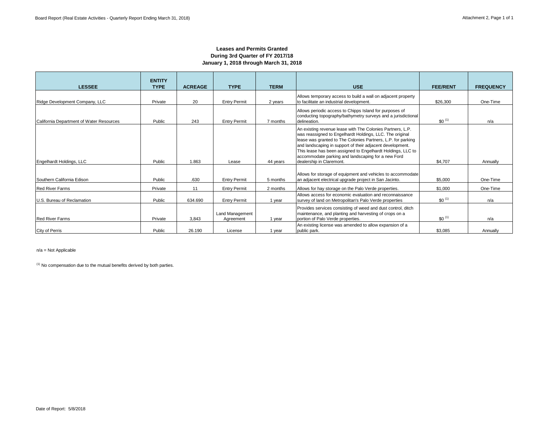### **Leases and Permits Granted During 3rd Quarter of FY 2017/18 January 1, 2018 through March 31, 2018**

| <b>LESSEE</b>                            | <b>ENTITY</b><br><b>TYPE</b> | <b>ACREAGE</b> | <b>TYPE</b>                  | <b>TERM</b> | <b>USE</b>                                                                                                                                                                                                                                                                                                                                                                                           | <b>FEE/RENT</b> | <b>FREQUENCY</b> |
|------------------------------------------|------------------------------|----------------|------------------------------|-------------|------------------------------------------------------------------------------------------------------------------------------------------------------------------------------------------------------------------------------------------------------------------------------------------------------------------------------------------------------------------------------------------------------|-----------------|------------------|
| Ridge Development Company, LLC           | Private                      | 20             | <b>Entry Permit</b>          | 2 years     | Allows temporary access to build a wall on adjacent property<br>to facilitate an industrial development.                                                                                                                                                                                                                                                                                             | \$26,300        | One-Time         |
| California Department of Water Resources | Public                       | 243            | <b>Entry Permit</b>          | 7 months    | Allows periodic access to Chipps Island for purposes of<br>conducting topography/bathymetry surveys and a jurisdictional<br>delineation.                                                                                                                                                                                                                                                             | $$0^{(1)}$$     | n/a              |
| Engelhardt Holdings, LLC                 | Public                       | 1.863          | Lease                        | 44 years    | An existing revenue lease with The Colonies Partners, L.P.<br>was reassigned to Engelhardt Holdings, LLC. The original<br>lease was granted to The Colonies Partners, L.P. for parking<br>and landscaping in support of their adjacent development.<br>This lease has been assigned to Engelhardt Holdings, LLC to<br>accommodate parking and landscaping for a new Ford<br>dealership in Claremont. | \$4,707         | Annually         |
| Southern California Edison               | Public                       | .630           | <b>Entry Permit</b>          | 5 months    | Allows for storage of equipment and vehicles to accommodate<br>an adjacent electrical upgrade project in San Jacinto.                                                                                                                                                                                                                                                                                | \$5,000         | One-Time         |
| <b>Red River Farms</b>                   | Private                      | 11             | <b>Entry Permit</b>          | 2 months    | Allows for hay storage on the Palo Verde properties.                                                                                                                                                                                                                                                                                                                                                 | \$1,000         | One-Time         |
| U.S. Bureau of Reclamation               | Public                       | 634.690        | <b>Entry Permit</b>          | 1 year      | Allows access for economic evaluation and reconnaissance<br>survey of land on Metropolitan's Palo Verde properties                                                                                                                                                                                                                                                                                   | $$0^{(1)}$$     | n/a              |
| <b>Red River Farms</b>                   | Private                      | 3.843          | Land Management<br>Agreement | 1 year      | Provides services consisting of weed and dust control, ditch<br>maintenance, and planting and harvesting of crops on a<br>portion of Palo Verde properties.                                                                                                                                                                                                                                          | $$0^{(1)}$$     | n/a              |
| City of Perris                           | Public                       | 26.190         | License                      | 1 year      | An existing license was amended to allow expansion of a<br>public park.                                                                                                                                                                                                                                                                                                                              | \$3,085         | Annually         |

n/a = Not Applicable

 $(1)$  No compensation due to the mutual benefits derived by both parties.